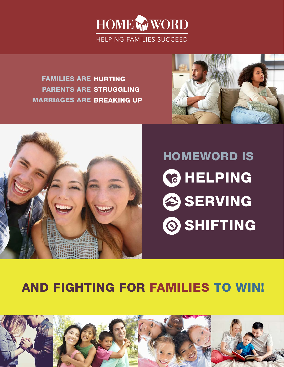

### AND FIGHTING FOR FAMILIES TO WIN!



# HOMEWORD IS **C** HELPING SERVING SHIFTING

FAMILIES ARE HURTING PARENTS ARE STRUGGLING MARRIAGES ARE BREAKING UP



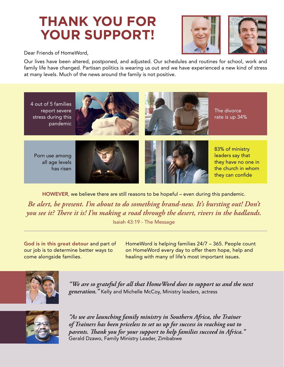## **THANK YOU FOR YOUR SUPPORT!**





Dear Friends of HomeWord,

Our lives have been altered, postponed, and adjusted. Our schedules and routines for school, work and family life have changed. Partisan politics is wearing us out and we have experienced a new kind of stress at many levels. Much of the news around the family is not positive.



HOWEVER, we believe there are still reasons to be hopeful – even during this pandemic.

*Be alert, be present. I'm about to do something brand-new. It's bursting out! Don't you see it? There it is! I'm making a road through the desert, rivers in the badlands.* Isaiah 43:19 - The Message

God is in this great detour and part of our job is to determine better ways to come alongside families.

HomeWord is helping families 24/7 – 365. People count on HomeWord every day to offer them hope, help and healing with many of life's most important issues.



*"We are so grateful for all that HomeWord does to support us and the next generation."* Kelly and Michelle McCoy, Ministry leaders, actress



*"As we are launching family ministry in Southern Africa, the Trainer of Trainers has been priceless to set us up for success in reaching out to parents. Thank you for your support to help families succeed in Africa."*  Gerald Dzawo, Family Ministry Leader, Zimbabwe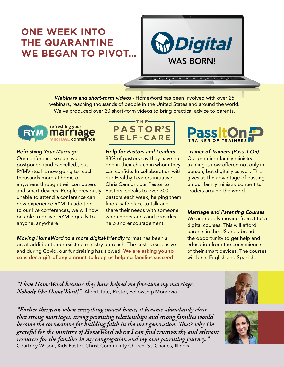### **ONE WEEK INTO THE QUARANTINE WE BEGAN TO PIVOT…**



*Webinars and short-form videos* - HomeWord has been involved with over 25 webinars, reaching thousands of people in the United States and around the world. We've produced over 20 short-form videos to bring practical advice to parents.



#### *Refreshing Your Marriage*

Our conference season was postponed (and cancelled), but RYMVirtual is now going to reach thousands more at home or anywhere through their computers and smart devices. People previously unable to attend a conference can now experience RYM. In addition to our live conferences, we will now be able to deliver RYM digitally to anyone, anywhere.



*Help for Pastors and Leaders*  83% of pastors say they have no one in their church in whom they can confide. In collaboration with our Healthy Leaders initiative, Chris Cannon, our Pastor to Pastors, speaks to over 300 pastors each week, helping them find a safe place to talk and share their needs with someone who understands and provides help and encouragement.

*Moving HomeWord to a more digital-friendly* format has been a great addition to our existing ministry outreach. The cost is expensive and during Covid, our fundraising has slowed. We are asking you to consider a gift of any amount to keep us helping families succeed.



*Trainer of Trainers (Pass it On)*  Our premiere family ministry training is now offered not only in person, but digitally as well. This gives us the advantage of passing on our family ministry content to leaders around the world.

#### *Marriage and Parenting Courses*

We are rapidly moving from 3 to 15 digital courses. This will afford parents in the US and abroad the opportunity to get help and education from the convenience of their smart devices. The courses will be in English and Spanish.

*"I love HomeWord because they have helped me fine-tune my marriage. Nobody like HomeWord!"* Albert Tate, Pastor, Fellowship Monrovia

*"Earlier this year, when everything moved home, it became abundantly clear that strong marriages, strong parenting relationships and strong families would become the cornerstone for building faith in the next generation. That's why I'm grateful for the ministry of HomeWord where I can find trustworthy and relevant resources for the families in my congregation and my own parenting journey."*  Courtney Wilson, Kids Pastor, Christ Community Church, St. Charles, Illinois